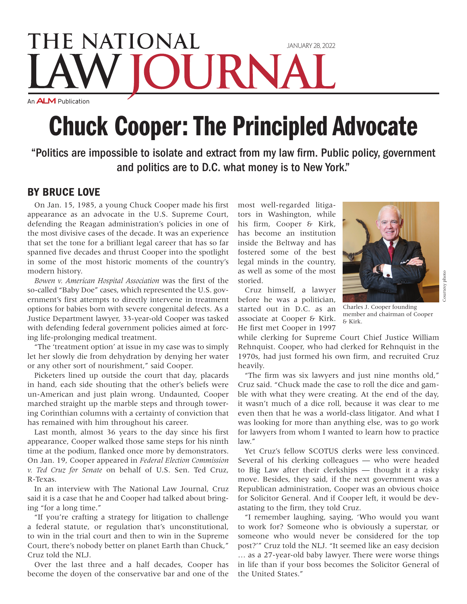## THE NATIONAL JANUARY 28, 2022 An **ALM** Publication

# Chuck Cooper: The Principled Advocate

"Politics are impossible to isolate and extract from my law firm. Public policy, government and politics are to D.C. what money is to New York."

### BY BRUCE LOVE

On Jan. 15, 1985, a young Chuck Cooper made his first appearance as an advocate in the U.S. Supreme Court, defending the Reagan administration's policies in one of the most divisive cases of the decade. It was an experience that set the tone for a brilliant legal career that has so far spanned five decades and thrust Cooper into the spotlight in some of the most historic moments of the country's modern history.

*Bowen v. American Hospital Association* was the first of the so-called "Baby Doe" cases, which represented the U.S. government's first attempts to directly intervene in treatment options for babies born with severe congenital defects. As a Justice Department lawyer, 33-year-old Cooper was tasked with defending federal government policies aimed at forcing life-prolonging medical treatment.

"The 'treatment option' at issue in my case was to simply let her slowly die from dehydration by denying her water or any other sort of nourishment," said Cooper.

Picketers lined up outside the court that day, placards in hand, each side shouting that the other's beliefs were un-American and just plain wrong. Undaunted, Cooper marched straight up the marble steps and through towering Corinthian columns with a certainty of conviction that has remained with him throughout his career.

Last month, almost 36 years to the day since his first appearance, Cooper walked those same steps for his ninth time at the podium, flanked once more by demonstrators. On Jan. 19, Cooper appeared in *Federal Election Commission v. Ted Cruz for Senate* on behalf of U.S. Sen. Ted Cruz, R-Texas.

In an interview with The National Law Journal, Cruz said it is a case that he and Cooper had talked about bringing "for a long time."

"If you're crafting a strategy for litigation to challenge a federal statute, or regulation that's unconstitutional, to win in the trial court and then to win in the Supreme Court, there's nobody better on planet Earth than Chuck," Cruz told the NLJ.

Over the last three and a half decades, Cooper has become the doyen of the conservative bar and one of the

most well-regarded litigators in Washington, while his firm, Cooper & Kirk, has become an institution inside the Beltway and has fostered some of the best legal minds in the country, as well as some of the most storied.

Cruz himself, a lawyer before he was a politician, started out in D.C. as an associate at Cooper & Kirk. He first met Cooper in 1997



Courtesy photo

Courtesy photo

Charles J. Cooper founding member and chairman of Cooper & Kirk.

while clerking for Supreme Court Chief Justice William Rehnquist. Cooper, who had clerked for Rehnquist in the 1970s, had just formed his own firm, and recruited Cruz heavily.

"The firm was six lawyers and just nine months old," Cruz said. "Chuck made the case to roll the dice and gamble with what they were creating. At the end of the day, it wasn't much of a dice roll, because it was clear to me even then that he was a world-class litigator. And what I was looking for more than anything else, was to go work for lawyers from whom I wanted to learn how to practice law."

Yet Cruz's fellow SCOTUS clerks were less convinced. Several of his clerking colleagues — who were headed to Big Law after their clerkships — thought it a risky move. Besides, they said, if the next government was a Republican administration, Cooper was an obvious choice for Solicitor General. And if Cooper left, it would be devastating to the firm, they told Cruz.

"I remember laughing, saying, 'Who would you want to work for? Someone who is obviously a superstar, or someone who would never be considered for the top post?'" Cruz told the NLJ. "It seemed like an easy decision … as a 27-year-old baby lawyer. There were worse things in life than if your boss becomes the Solicitor General of the United States."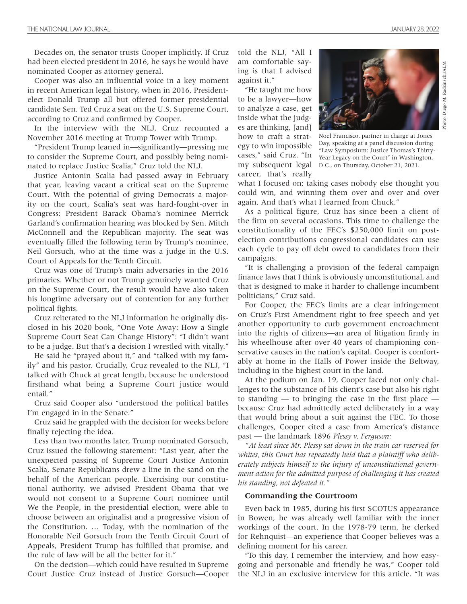Decades on, the senator trusts Cooper implicitly. If Cruz had been elected president in 2016, he says he would have nominated Cooper as attorney general.

Cooper was also an influential voice in a key moment in recent American legal history, when in 2016, Presidentelect Donald Trump all but offered former presidential candidate Sen. Ted Cruz a seat on the U.S. Supreme Court, according to Cruz and confirmed by Cooper.

In the interview with the NLJ, Cruz recounted a November 2016 meeting at Trump Tower with Trump.

"President Trump leaned in—significantly—pressing me to consider the Supreme Court, and possibly being nominated to replace Justice Scalia," Cruz told the NLJ.

Justice Antonin Scalia had passed away in February that year, leaving vacant a critical seat on the Supreme Court. With the potential of giving Democrats a majority on the court, Scalia's seat was hard-fought-over in Congress; President Barack Obama's nominee Merrick Garland's confirmation hearing was blocked by Sen. Mitch McConnell and the Republican majority. The seat was eventually filled the following term by Trump's nominee, Neil Gorsuch, who at the time was a judge in the U.S. Court of Appeals for the Tenth Circuit.

Cruz was one of Trump's main adversaries in the 2016 primaries. Whether or not Trump genuinely wanted Cruz on the Supreme Court, the result would have also taken his longtime adversary out of contention for any further political fights.

Cruz reiterated to the NLJ information he originally disclosed in his 2020 book, "One Vote Away: How a Single Supreme Court Seat Can Change History": "I didn't want to be a judge. But that's a decision I wrestled with vitally."

He said he "prayed about it," and "talked with my family" and his pastor. Crucially, Cruz revealed to the NLJ, "I talked with Chuck at great length, because he understood firsthand what being a Supreme Court justice would entail."

Cruz said Cooper also "understood the political battles I'm engaged in in the Senate."

Cruz said he grappled with the decision for weeks before finally rejecting the idea.

Less than two months later, Trump nominated Gorsuch, Cruz issued the following statement: "Last year, after the unexpected passing of Supreme Court Justice Antonin Scalia, Senate Republicans drew a line in the sand on the behalf of the American people. Exercising our constitutional authority, we advised President Obama that we would not consent to a Supreme Court nominee until We the People, in the presidential election, were able to choose between an originalist and a progressive vision of the Constitution. … Today, with the nomination of the Honorable Neil Gorsuch from the Tenth Circuit Court of Appeals, President Trump has fulfilled that promise, and the rule of law will be all the better for it."

On the decision—which could have resulted in Supreme Court Justice Cruz instead of Justice Gorsuch—Cooper

told the NLJ, "All I am comfortable saying is that I advised against it."

"He taught me how to be a lawyer—how to analyze a case, get inside what the judges are thinking, [and] how to craft a strategy to win impossible cases," said Cruz. "In my subsequent legal career, that's really



Noel Francisco, partner in charge at Jones Day, speaking at a panel discussion during "Law Symposium: Justice Thomas's Thirty-Year Legacy on the Court" in Washington, D.C., on Thursday, October 21, 2021.

what I focused on; taking cases nobody else thought you could win, and winning them over and over and over again. And that's what I learned from Chuck."

As a political figure, Cruz has since been a client of the firm on several occasions. This time to challenge the constitutionality of the FEC's \$250,000 limit on postelection contributions congressional candidates can use each cycle to pay off debt owed to candidates from their campaigns.

"It is challenging a provision of the federal campaign finance laws that I think is obviously unconstitutional, and that is designed to make it harder to challenge incumbent politicians," Cruz said.

For Cooper, the FEC's limits are a clear infringement on Cruz's First Amendment right to free speech and yet another opportunity to curb government encroachment into the rights of citizens—an area of litigation firmly in his wheelhouse after over 40 years of championing conservative causes in the nation's capital. Cooper is comfortably at home in the Halls of Power inside the Beltway, including in the highest court in the land.

At the podium on Jan. 19, Cooper faced not only challenges to the substance of his client's case but also his right to standing — to bringing the case in the first place because Cruz had admittedly acted deliberately in a way that would bring about a suit against the FEC. To those challenges, Cooper cited a case from America's distance past — the landmark 1896 *Plessy v. Ferguson:*

*"At least since Mr. Plessy sat down in the train car reserved for whites, this Court has repeatedly held that a plaintiff who deliberately subjects himself to the injury of unconstitutional government action for the admitted purpose of challenging it has created his standing, not defeated it."*

#### **Commanding the Courtroom**

Even back in 1985, during his first SCOTUS appearance in Bowen, he was already well familiar with the inner workings of the court. In the 1978-79 term, he clerked for Rehnquist—an experience that Cooper believes was a defining moment for his career.

"To this day, I remember the interview, and how easygoing and personable and friendly he was," Cooper told the NLJ in an exclusive interview for this article. "It was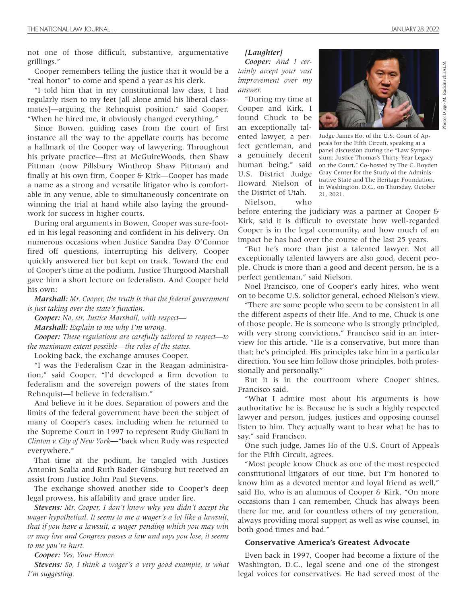not one of those difficult, substantive, argumentative grillings."

Cooper remembers telling the justice that it would be a "real honor" to come and spend a year as his clerk.

"I told him that in my constitutional law class, I had regularly risen to my feet [all alone amid his liberal classmates]—arguing the Rehnquist position," said Cooper. "When he hired me, it obviously changed everything."

Since Bowen, guiding cases from the court of first instance all the way to the appellate courts has become a hallmark of the Cooper way of lawyering. Throughout his private practice—first at McGuireWoods, then Shaw Pittman (now Pillsbury Winthrop Shaw Pittman) and finally at his own firm, Cooper & Kirk—Cooper has made a name as a strong and versatile litigator who is comfortable in any venue, able to simultaneously concentrate on winning the trial at hand while also laying the groundwork for success in higher courts.

During oral arguments in Bowen, Cooper was sure-footed in his legal reasoning and confident in his delivery. On numerous occasions when Justice Sandra Day O'Connor fired off questions, interrupting his delivery, Cooper quickly answered her but kept on track. Toward the end of Cooper's time at the podium, Justice Thurgood Marshall gave him a short lecture on federalism. And Cooper held his own:

*Marshall: Mr. Cooper, the truth is that the federal government is just taking over the state's function.*

*Cooper: No, sir, Justice Marshall, with respect—*

*Marshall: Explain to me why I'm wrong.*

*Cooper: These regulations are carefully tailored to respect—to the maximum extent possible—the roles of the states.*

Looking back, the exchange amuses Cooper.

"I was the Federalism Czar in the Reagan administration," said Cooper. "I'd developed a firm devotion to federalism and the sovereign powers of the states from Rehnquist—I believe in federalism."

And believe in it he does. Separation of powers and the limits of the federal government have been the subject of many of Cooper's cases, including when he returned to the Supreme Court in 1997 to represent Rudy Giuliani in *Clinton v. City of New York*—"back when Rudy was respected everywhere."

That time at the podium, he tangled with Justices Antonin Scalia and Ruth Bader Ginsburg but received an assist from Justice John Paul Stevens.

The exchange showed another side to Cooper's deep legal prowess, his affability and grace under fire.

*Stevens: Mr. Cooper, I don't know why you didn't accept the wager hypothetical. It seems to me a wager's a lot like a lawsuit, that if you have a lawsuit, a wager pending which you may win or may lose and Congress passes a law and says you lose, it seems to me you're hurt.*

*Cooper: Yes, Your Honor.*

*Stevens: So, I think a wager's a very good example, is what I'm suggesting.*

#### *[Laughter] Cooper: And I cer-*

*tainly accept your vast improvement over my answer.*

"During my time at Cooper and Kirk, I found Chuck to be an exceptionally talented lawyer, a perfect gentleman, and a genuinely decent human being," said U.S. District Judge Howard Nielson of the District of Utah. Nielson, who



Judge James Ho, of the U.S. Court of Appeals for the Fifth Circuit, speaking at a panel discussion during the "Law Symposium: Justice Thomas's Thirty-Year Legacy on the Court," Co-hosted by The C. Boyden Gray Center for the Study of the Administrative State and The Heritage Foundation, in Washington, D.C., on Thursday, October 21, 2021.

before entering the judiciary was a partner at Cooper & Kirk, said it is difficult to overstate how well-regarded Cooper is in the legal community, and how much of an

impact he has had over the course of the last 25 years. "But he's more than just a talented lawyer. Not all exceptionally talented lawyers are also good, decent people. Chuck is more than a good and decent person, he is a perfect gentleman," said Nielson.

Noel Francisco, one of Cooper's early hires, who went on to become U.S. solicitor general, echoed Nielson's view.

"There are some people who seem to be consistent in all the different aspects of their life. And to me, Chuck is one of those people. He is someone who is strongly principled, with very strong convictions," Francisco said in an interview for this article. "He is a conservative, but more than that; he's principled. His principles take him in a particular direction. You see him follow those principles, both professionally and personally."

But it is in the courtroom where Cooper shines, Francisco said.

"What I admire most about his arguments is how authoritative he is. Because he is such a highly respected lawyer and person, judges, justices and opposing counsel listen to him. They actually want to hear what he has to say," said Francisco.

One such judge, James Ho of the U.S. Court of Appeals for the Fifth Circuit, agrees.

"Most people know Chuck as one of the most respected constitutional litigators of our time, but I'm honored to know him as a devoted mentor and loyal friend as well," said Ho, who is an alumnus of Cooper & Kirk. "On more occasions than I can remember, Chuck has always been there for me, and for countless others of my generation, always providing moral support as well as wise counsel, in both good times and bad."

#### **Conservative America's Greatest Advocate**

Even back in 1997, Cooper had become a fixture of the Washington, D.C., legal scene and one of the strongest legal voices for conservatives. He had served most of the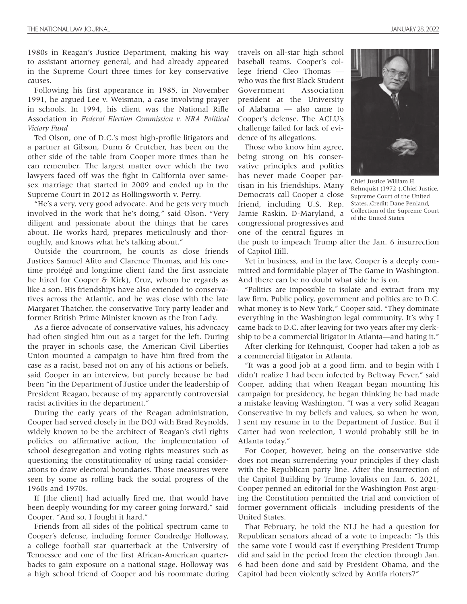1980s in Reagan's Justice Department, making his way to assistant attorney general, and had already appeared in the Supreme Court three times for key conservative causes.

Following his first appearance in 1985, in November 1991, he argued Lee v. Weisman, a case involving prayer in schools. In 1994, his client was the National Rifle Association in *Federal Election Commission v. NRA Political Victory Fund*

Ted Olson, one of D.C.'s most high-profile litigators and a partner at Gibson, Dunn & Crutcher, has been on the other side of the table from Cooper more times than he can remember. The largest matter over which the two lawyers faced off was the fight in California over samesex marriage that started in 2009 and ended up in the Supreme Court in 2012 as Hollingsworth v. Perry.

"He's a very, very good advocate. And he gets very much involved in the work that he's doing," said Olson. "Very diligent and passionate about the things that he cares about. He works hard, prepares meticulously and thoroughly, and knows what he's talking about."

Outside the courtroom, he counts as close friends Justices Samuel Alito and Clarence Thomas, and his onetime protégé and longtime client (and the first associate he hired for Cooper & Kirk), Cruz, whom he regards as like a son. His friendships have also extended to conservatives across the Atlantic, and he was close with the late Margaret Thatcher, the conservative Tory party leader and former British Prime Minister known as the Iron Lady.

As a fierce advocate of conservative values, his advocacy had often singled him out as a target for the left. During the prayer in schools case, the American Civil Liberties Union mounted a campaign to have him fired from the case as a racist, based not on any of his actions or beliefs, said Cooper in an interview, but purely because he had been "in the Department of Justice under the leadership of President Reagan, because of my apparently controversial racist activities in the department."

During the early years of the Reagan administration, Cooper had served closely in the DOJ with Brad Reynolds, widely known to be the architect of Reagan's civil rights policies on affirmative action, the implementation of school desegregation and voting rights measures such as questioning the constitutionality of using racial considerations to draw electoral boundaries. Those measures were seen by some as rolling back the social progress of the 1960s and 1970s.

If [the client] had actually fired me, that would have been deeply wounding for my career going forward," said Cooper. "And so, I fought it hard."

Friends from all sides of the political spectrum came to Cooper's defense, including former Condredge Holloway, a college football star quarterback at the University of Tennessee and one of the first African-American quarterbacks to gain exposure on a national stage. Holloway was a high school friend of Cooper and his roommate during

travels on all-star high school baseball teams. Cooper's college friend Cleo Thomas who was the first Black Student Government Association president at the University of Alabama — also came to Cooper's defense. The ACLU's challenge failed for lack of evidence of its allegations.

Those who know him agree, being strong on his conservative principles and politics has never made Cooper partisan in his friendships. Many Democrats call Cooper a close friend, including U.S. Rep. Jamie Raskin, D-Maryland, a congressional progressives and one of the central figures in



Chief Justice William H. Rehnquist (1972-).Chief Justice, Supreme Court of the United States..Credit: Dane Penland, Collection of the Supreme Court of the United States

the push to impeach Trump after the Jan. 6 insurrection of Capitol Hill.

Yet in business, and in the law, Cooper is a deeply committed and formidable player of The Game in Washington. And there can be no doubt what side he is on.

"Politics are impossible to isolate and extract from my law firm. Public policy, government and politics are to D.C. what money is to New York," Cooper said. "They dominate everything in the Washington legal community. It's why I came back to D.C. after leaving for two years after my clerkship to be a commercial litigator in Atlanta—and hating it."

After clerking for Rehnquist, Cooper had taken a job as a commercial litigator in Atlanta.

"It was a good job at a good firm, and to begin with I didn't realize I had been infected by Beltway Fever," said Cooper, adding that when Reagan began mounting his campaign for presidency, he began thinking he had made a mistake leaving Washington. "I was a very solid Reagan Conservative in my beliefs and values, so when he won, I sent my resume in to the Department of Justice. But if Carter had won reelection, I would probably still be in Atlanta today."

For Cooper, however, being on the conservative side does not mean surrendering your principles if they clash with the Republican party line. After the insurrection of the Capitol Building by Trump loyalists on Jan. 6, 2021, Cooper penned an editorial for the Washington Post arguing the Constitution permitted the trial and conviction of former government officials—including presidents of the United States.

That February, he told the NLJ he had a question for Republican senators ahead of a vote to impeach: "Is this the same vote I would cast if everything President Trump did and said in the period from the election through Jan. 6 had been done and said by President Obama, and the Capitol had been violently seized by Antifa rioters?"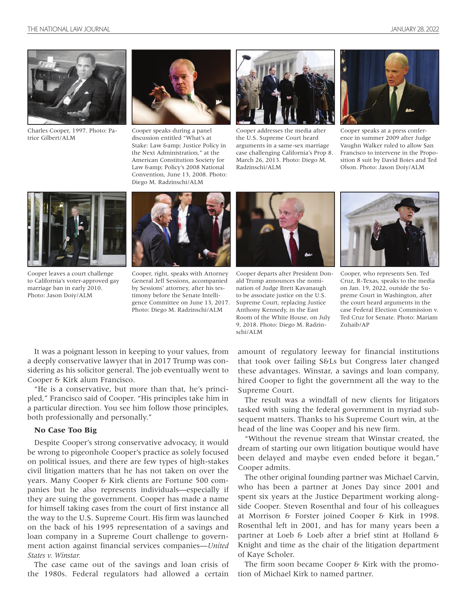

Charles Cooper, 1997. Photo: Patrice Gilbert/ALM



Cooper speaks during a panel discussion entitled "What's at Stake: Law & amp; Justice Policy in the Next Administration," at the American Constitution Society for Law & amp; Policy's 2008 National Convention, June 13, 2008. Photo: Diego M. Radzinschi/ALM



Cooper addresses the media after the U.S. Supreme Court heard arguments in a same-sex marriage case challenging California's Prop 8. March 26, 2013. Photo: Diego M. Radzinschi/ALM



Cooper speaks at a press conference in summer 2009 after Judge Vaughn Walker ruled to allow San Francisco to intervene in the Proposition 8 suit by David Boies and Ted Olson. Photo: Jason Doiy/ALM



Cooper leaves a court challenge to California's voter-approved gay marriage ban in early 2010. Photo: Jason Doiy/ALM



Cooper, right, speaks with Attorney General Jeff Sessions, accompanied by Sessions' attorney, after his testimony before the Senate Intelligence Committee on June 13, 2017. Photo: Diego M. Radzinschi/ALM



Cooper departs after President Donald Trump announces the nomination of Judge Brett Kavanaugh to be associate justice on the U.S. Supreme Court, replacing Justice Anthony Kennedy, in the East Room of the White House, on July 9, 2018. Photo: Diego M. Radzinschi/ALM



Cooper, who represents Sen. Ted Cruz, R-Texas, speaks to the media on Jan. 19, 2022, outside the Supreme Court in Washington, after the court heard arguments in the case Federal Election Commission v. Ted Cruz for Senate. Photo: Mariam Zuhaib/AP

It was a poignant lesson in keeping to your values, from a deeply conservative lawyer that in 2017 Trump was considering as his solicitor general. The job eventually went to Cooper & Kirk alum Francisco.

"He is a conservative, but more than that, he's principled," Francisco said of Cooper. "His principles take him in a particular direction. You see him follow those principles, both professionally and personally."

#### **No Case Too Big**

Despite Cooper's strong conservative advocacy, it would be wrong to pigeonhole Cooper's practice as solely focused on political issues, and there are few types of high-stakes civil litigation matters that he has not taken on over the years. Many Cooper & Kirk clients are Fortune 500 companies but he also represents individuals—especially if they are suing the government. Cooper has made a name for himself taking cases from the court of first instance all the way to the U.S. Supreme Court. His firm was launched on the back of his 1995 representation of a savings and loan company in a Supreme Court challenge to government action against financial services companies—*United States v. Winstar.*

The case came out of the savings and loan crisis of the 1980s. Federal regulators had allowed a certain amount of regulatory leeway for financial institutions that took over failing S&Ls but Congress later changed these advantages. Winstar, a savings and loan company, hired Cooper to fight the government all the way to the Supreme Court.

The result was a windfall of new clients for litigators tasked with suing the federal government in myriad subsequent matters. Thanks to his Supreme Court win, at the head of the line was Cooper and his new firm.

"Without the revenue stream that Winstar created, the dream of starting our own litigation boutique would have been delayed and maybe even ended before it began," Cooper admits.

The other original founding partner was Michael Carvin, who has been a partner at Jones Day since 2001 and spent six years at the Justice Department working alongside Cooper. Steven Rosenthal and four of his colleagues at Morrison & Forster joined Cooper & Kirk in 1998. Rosenthal left in 2001, and has for many years been a partner at Loeb & Loeb after a brief stint at Holland & Knight and time as the chair of the litigation department of Kaye Scholer.

The firm soon became Cooper & Kirk with the promotion of Michael Kirk to named partner.